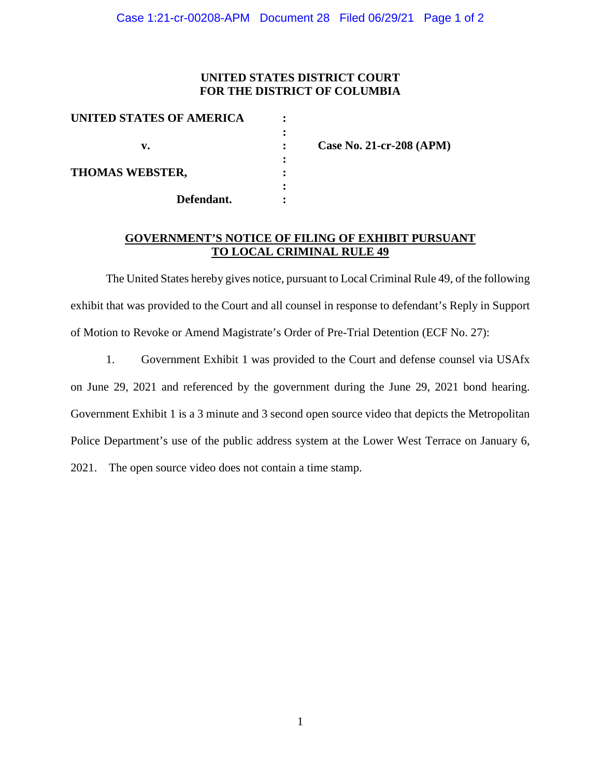## **UNITED STATES DISTRICT COURT FOR THE DISTRICT OF COLUMBIA**

**No. 21-cr-208 (APM)** 

| UNITED STATES OF AMERICA |      |
|--------------------------|------|
|                          |      |
| v.                       | Case |
| <b>THOMAS WEBSTER,</b>   |      |
|                          |      |
| Defendant.               |      |

**GOVERNMENT'S NOTICE OF FILING OF EXHIBIT PURSUANT TO LOCAL CRIMINAL RULE 49**

The United States hereby gives notice, pursuant to Local Criminal Rule 49, of the following exhibit that was provided to the Court and all counsel in response to defendant's Reply in Support of Motion to Revoke or Amend Magistrate's Order of Pre-Trial Detention (ECF No. 27):

1. Government Exhibit 1 was provided to the Court and defense counsel via USAfx on June 29, 2021 and referenced by the government during the June 29, 2021 bond hearing. Government Exhibit 1 is a 3 minute and 3 second open source video that depicts the Metropolitan Police Department's use of the public address system at the Lower West Terrace on January 6, 2021. The open source video does not contain a time stamp.